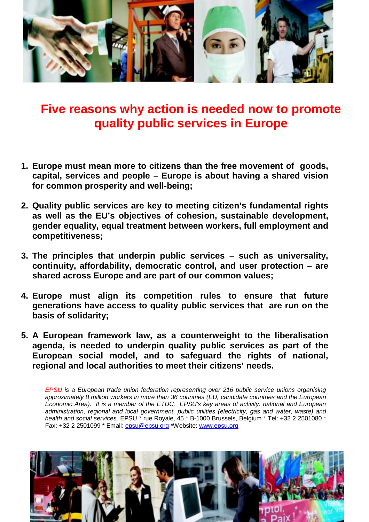

# **Five reasons why action is needed now to promote quality public services in Europe**

- **1. Europe must mean more to citizens than the free movement of goods, capital, services and people – Europe is about having a shared vision for common prosperity and well-being;**
- **2. Quality public services are key to meeting citizen's fundamental rights as well as the EU's objectives of cohesion, sustainable development, gender equality, equal treatment between workers, full employment and competitiveness;**
- **3. The principles that underpin public services such as universality, continuity, affordability, democratic control, and user protection – are shared across Europe and are part of our common values;**
- **4. Europe must align its competition rules to ensure that future generations have access to quality public services that are run on the basis of solidarity;**
- **5. A European framework law, as a counterweight to the liberalisation agenda, is needed to underpin quality public services as part of the European social model, and to safeguard the rights of national, regional and local authorities to meet their citizens' needs.**

*EPSU is a European trade union federation representing over 216 public service unions organising approximately 8 million workers in more than 36 countries (EU, candidate countries and the European Economic Area). It is a member of the ETUC. EPSU's key areas of activity: national and European administration, regional and local government, public utilities (electricity, gas and water, waste) and health and social services*. EPSU \* rue Royale, 45 \* B-1000 Brussels, Belgium \* Tel: +32 2 2501080 \* Fax: +32 2 2501099 \* Email: epsu@epsu.org \*Website: www.epsu.org

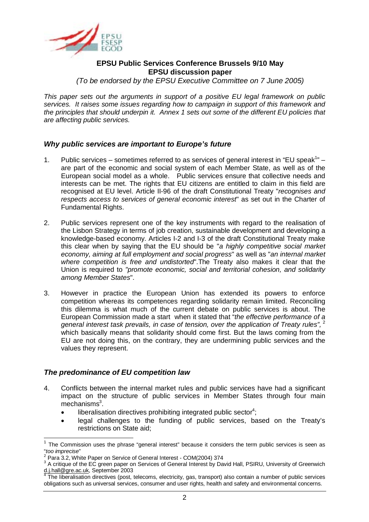

### **EPSU Public Services Conference Brussels 9/10 May EPSU discussion paper**

*(To be endorsed by the EPSU Executive Committee on 7 June 2005)* 

*This paper sets out the arguments in support of a positive EU legal framework on public services. It raises some issues regarding how to campaign in support of this framework and the principles that should underpin it. Annex 1 sets out some of the different EU policies that are affecting public services.* 

#### *Why public services are important to Europe's future*

- 1. Public services sometimes referred to as services of general interest in "EU speak<sup>1</sup>" are part of the economic and social system of each Member State, as well as of the European social model as a whole. Public services ensure that collective needs and interests can be met. The rights that EU citizens are entitled to claim in this field are recognised at EU level. Article II-96 of the draft Constitutional Treaty "*recognises and respects access to services of general economic interest*" as set out in the Charter of Fundamental Rights.
- 2. Public services represent one of the key instruments with regard to the realisation of the Lisbon Strategy in terms of job creation, sustainable development and developing a knowledge-based economy. Articles I-2 and I-3 of the draft Constitutional Treaty make this clear when by saying that the EU should be "*a highly competitive social market economy, aiming at full employment and social progress*" as well as "*an internal market where competition is free and undistorted*".The Treaty also makes it clear that the Union is required to *"promote economic, social and territorial cohesion, and solidarity among Member States*".
- 3. However in practice the European Union has extended its powers to enforce competition whereas its competences regarding solidarity remain limited. Reconciling this dilemma is what much of the current debate on public services is about. The European Commission made a start when it stated that "*the effective performance of a general interest task prevails, in case of tension, over the application of Treaty rules",*<sup>2</sup> which basically means that solidarity should come first. But the laws coming from the EU are not doing this, on the contrary, they are undermining public services and the values they represent.

#### *The predominance of EU competition law*

- 4. Conflicts between the internal market rules and public services have had a significant impact on the structure of public services in Member States through four main mechanisms<sup>3</sup>.
	- $\bullet$  liberalisation directives prohibiting integrated public sector<sup>4</sup>;
	- legal challenges to the funding of public services, based on the Treaty's restrictions on State aid;

 $\overline{a}$ <sup>1</sup> The Commission uses the phrase "general interest" because it considers the term public services is seen as "*too imprecise*" 2

Para 3.2, White Paper on Service of General Interest - COM(2004) 374

 $3$  A critique of the EC green paper on Services of General Interest by David Hall, PSIRU, University of Greenwich <u>d.j.hall@gre.ac.uk</u>, September 2003<br><sup>4</sup> The liberalisation directives (post, telecoms, electricity, gas, transport) also contain a number of public services

obligations such as universal services, consumer and user rights, health and safety and environmental concerns.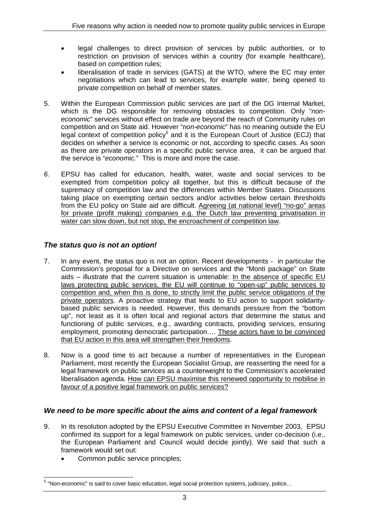- legal challenges to direct provision of services by public authorities, or to restriction on provision of services within a country (for example healthcare), based on competition rules;
- liberalisation of trade in services (GATS) at the WTO, where the EC may enter negotiations which can lead to services, for example water, being opened to private competition on behalf of member states.
- 5. Within the European Commission public services are part of the DG Internal Market, which is the DG responsible for removing obstacles to competition. Only "*noneconomic*" services without effect on trade are beyond the reach of Community rules on competition and on State aid. However "*non-economic*" has no meaning outside the EU legal context of competition policy<sup>5</sup> and it is the European Court of Justice (ECJ) that decides on whether a service is economic or not, according to specific cases. As soon as there are private operators in a specific public service area, it can be argued that the service is "*economic.*" This is more and more the case.
- *6.* EPSU has called for education, health, water, waste and social services to be exempted from competition policy all together, but this is difficult because of the supremacy of competition law and the differences within Member States. Discussions taking place on exempting certain sectors and/or activities below certain thresholds from the EU policy on State aid are difficult. Agreeing (at national level) "no-go" areas for private (profit making) companies e.g. the Dutch law preventing privatisation in water can slow down, but not stop, the encroachment of competition law.

# *The status quo is not an option!*

- 7. In any event, the status quo is not an option. Recent developments in particular the Commission's proposal for a Directive on services and the "Monti package" on State aids – illustrate that the current situation is untenable: In the absence of specific EU laws protecting public services, the EU will continue to "open-up" public services to competition and, when this is done, to strictly limit the public service obligations of the private operators. A proactive strategy that leads to EU action to support solidaritybased public services is needed. However, this demands pressure from the "bottom up", not least as it is often local and regional actors that determine the status and functioning of public services, e.g., awarding contracts, providing services, ensuring employment, promoting democratic participation…. These actors have to be convinced that EU action in this area will strengthen their freedoms.
- 8. Now is a good time to act because a number of representatives in the European Parliament, most recently the European Socialist Group, are reasserting the need for a legal framework on public services as a counterweight to the Commission's accelerated liberalisation agenda. How can EPSU maximise this renewed opportunity to mobilise in favour of a positive legal framework on public services?

# *We need to be more specific about the aims and content of a legal framework*

- 9. In its resolution adopted by the EPSU Executive Committee in November 2003, EPSU confirmed its support for a legal framework on public services, under co-decision (i.e., the European Parliament and Council would decide jointly). We said that such a framework would set out:
	- Common public service principles:

 5 "Non-economic" is said to cover basic education, legal social protection systems, judiciary, police…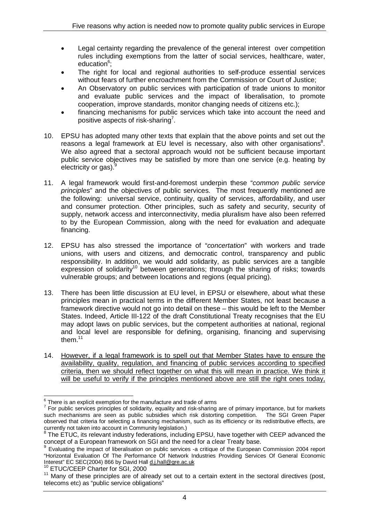- Legal certainty regarding the prevalence of the general interest over competition rules including exemptions from the latter of social services, healthcare, water, education<sup>6</sup>;
- The right for local and regional authorities to self-produce essential services without fears of further encroachment from the Commission or Court of Justice;
- An Observatory on public services with participation of trade unions to monitor and evaluate public services and the impact of liberalisation, to promote cooperation, improve standards, monitor changing needs of citizens etc.);
- financing mechanisms for public services which take into account the need and positive aspects of risk-sharing<sup>7</sup>.
- 10. EPSU has adopted many other texts that explain that the above points and set out the reasons a legal framework at EU level is necessary, also with other organisations $8$ . We also agreed that a sectoral approach would not be sufficient because important public service objectives may be satisfied by more than one service (e.g. heating by electricity or gas). $<sup>9</sup>$ </sup>
- 11. A legal framework would first-and-foremost underpin these "*common public service principles*" and the objectives of public services. The most frequently mentioned are the following: universal service, continuity, quality of services, affordability, and user and consumer protection. Other principles, such as safety and security, security of supply, network access and interconnectivity, media pluralism have also been referred to by the European Commission, along with the need for evaluation and adequate financing.
- 12. EPSU has also stressed the importance of "*concertation*" with workers and trade unions, with users and citizens, and democratic control, transparency and public responsibility. In addition, we would add solidarity, as public services are a tangible  $\mu$ expression of solidarity<sup>10</sup> between generations; through the sharing of risks; towards vulnerable groups; and between locations and regions (equal pricing).
- 13. There has been little discussion at EU level, in EPSU or elsewhere, about what these principles mean in practical terms in the different Member States, not least because a framework directive would not go into detail on these – this would be left to the Member States. Indeed, Article III-122 of the draft Constitutional Treaty recognises that the EU may adopt laws on public services, but the competent authorities at national, regional and local level are responsible for defining, organising, financing and supervising them.11
- 14. However, if a legal framework is to spell out that Member States have to ensure the availability, quality, regulation, and financing of public services according to specified criteria, then we should reflect together on what this will mean in practice. We think it will be useful to verify if the principles mentioned above are still the right ones today,

 6 There is an explicit exemption for the manufacture and trade of arms

 $<sup>7</sup>$  For public services principles of solidarity, equality and risk-sharing are of primary importance, but for markets</sup> such mechanisms are seen as public subsidies which risk distorting competition. The SGI Green Paper observed that criteria for selecting a financing mechanism, such as its efficiency or its redistributive effects, are

currently not taken into account in Community legislation.)<br><sup>8</sup> The ETUC, its relevant industry federations, including EPSU, have together with CEEP advanced the concept of a European framework on SGI and the need for a clear Treaty base.

<sup>9</sup> Evaluating the impact of liberalisation on public services -a critique of the European Commission 2004 report "Horizontal Evaluation Of The Performance Of Network Industries Providing Services Of General Economic Interest" EC SEC(2004) 866 by David Hall d.j.hall@gre.ac.uk

<sup>10</sup> ETUC/CEEP Charter for SGI, 2000

 $11$  Many of these principles are of already set out to a certain extent in the sectoral directives (post, telecoms etc) as "public service obligations"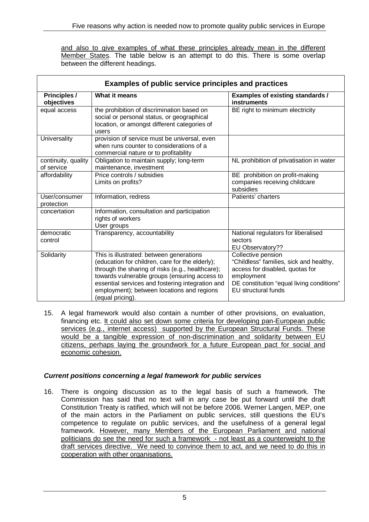and also to give examples of what these principles already mean in the different Member States. The table below is an attempt to do this. There is some overlap between the different headings.

| Examples of public service principles and practices |                                                                                                                                                                                                                                                                                                                        |                                                                                                                                                                                           |
|-----------------------------------------------------|------------------------------------------------------------------------------------------------------------------------------------------------------------------------------------------------------------------------------------------------------------------------------------------------------------------------|-------------------------------------------------------------------------------------------------------------------------------------------------------------------------------------------|
| <b>Principles /</b><br>objectives                   | What it means                                                                                                                                                                                                                                                                                                          | <b>Examples of existing standards /</b><br>instruments                                                                                                                                    |
| equal access                                        | the prohibition of discrimination based on<br>social or personal status, or geographical<br>location, or amongst different categories of<br>users                                                                                                                                                                      | BE right to minimum electricity                                                                                                                                                           |
| Universality                                        | provision of service must be universal, even<br>when runs counter to considerations of a<br>commercial nature or to profitability                                                                                                                                                                                      |                                                                                                                                                                                           |
| continuity, quality<br>of service                   | Obligation to maintain supply; long-term<br>maintenance, investment                                                                                                                                                                                                                                                    | NL prohibition of privatisation in water                                                                                                                                                  |
| affordability                                       | Price controls / subsidies<br>Limits on profits?                                                                                                                                                                                                                                                                       | BE prohibition on profit-making<br>companies receiving childcare<br>subsidies                                                                                                             |
| User/consumer<br>protection                         | Information, redress                                                                                                                                                                                                                                                                                                   | Patients' charters                                                                                                                                                                        |
| concertation                                        | Information, consultation and participation<br>rights of workers<br>User groups                                                                                                                                                                                                                                        |                                                                                                                                                                                           |
| democratic<br>control                               | Transparency, accountability                                                                                                                                                                                                                                                                                           | National regulators for liberalised<br>sectors<br>EU Observatory??                                                                                                                        |
| Solidarity                                          | This is illustrated: between generations<br>(education for children, care for the elderly);<br>through the sharing of risks (e.g., healthcare);<br>towards vulnerable groups (ensuring access to<br>essential services and fostering integration and<br>employment); between locations and regions<br>(equal pricing). | Collective pension<br>"Childless" families, sick and healthy,<br>access for disabled, quotas for<br>employment<br>DE constitution "equal living conditions"<br><b>EU</b> structural funds |

15. A legal framework would also contain a number of other provisions, on evaluation, financing etc. It could also set down some criteria for developing pan-European public services (e.g., internet access) supported by the European Structural Funds. These would be a tangible expression of non-discrimination and solidarity between EU citizens, perhaps laying the groundwork for a future European pact for social and economic cohesion.

#### *Current positions concerning a legal framework for public services*

16. There is ongoing discussion as to the legal basis of such a framework. The Commission has said that no text will in any case be put forward until the draft Constitution Treaty is ratified, which will not be before 2006. Werner Langen, MEP, one of the main actors in the Parliament on public services, still questions the EU's competence to regulate on public services, and the usefulness of a general legal framework. However, many Members of the European Parliament and national politicians do see the need for such a framework - not least as a counterweight to the draft services directive. We need to convince them to act, and we need to do this in cooperation with other organisations.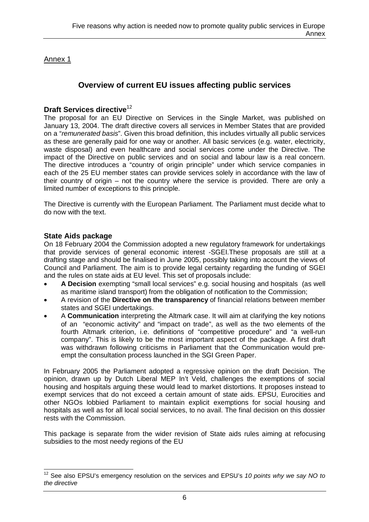## Annex 1

# **Overview of current EU issues affecting public services**

## **Draft Services directive**<sup>12</sup>

The proposal for an EU Directive on Services in the Single Market, was published on January 13, 2004. The draft directive covers all services in Member States that are provided on a "*remunerated basis*". Given this broad definition, this includes virtually all public services as these are generally paid for one way or another. All basic services (e.g. water, electricity, waste disposal) and even healthcare and social services come under the Directive. The impact of the Directive on public services and on social and labour law is a real concern. The directive introduces a "country of origin principle" under which service companies in each of the 25 EU member states can provide services solely in accordance with the law of their country of origin – not the country where the service is provided. There are only a limited number of exceptions to this principle.

The Directive is currently with the European Parliament. The Parliament must decide what to do now with the text.

## **State Aids package**

On 18 February 2004 the Commission adopted a new regulatory framework for undertakings that provide services of general economic interest -SGEI.These proposals are still at a drafting stage and should be finalised in June 2005, possibly taking into account the views of Council and Parliament. The aim is to provide legal certainty regarding the funding of SGEI and the rules on state aids at EU level. This set of proposals include:

- **A Decision** exempting "small local services" e.g. social housing and hospitals (as well as maritime island transport) from the obligation of notification to the Commission;
- A revision of the **Directive on the transparency** of financial relations between member states and SGEI undertakings.
- A **Communication** interpreting the Altmark case. It will aim at clarifying the key notions of an "economic activity" and "impact on trade", as well as the two elements of the fourth Altmark criterion, i.e. definitions of "competitive procedure" and "a well-run company". This is likely to be the most important aspect of the package. A first draft was withdrawn following criticisms in Parliament that the Communication would preempt the consultation process launched in the SGI Green Paper.

In February 2005 the Parliament adopted a regressive opinion on the draft Decision. The opinion, drawn up by Dutch Liberal MEP In't Veld, challenges the exemptions of social housing and hospitals arguing these would lead to market distortions. It proposes instead to exempt services that do not exceed a certain amount of state aids. EPSU, Eurocities and other NGOs lobbied Parliament to maintain explicit exemptions for social housing and hospitals as well as for all local social services, to no avail. The final decision on this dossier rests with the Commission.

This package is separate from the wider revision of State aids rules aiming at refocusing subsidies to the most needy regions of the EU

 $\overline{\phantom{a}}$ 12 See also EPSU's emergency resolution on the services and EPSU's *10 points why we say NO to the directive*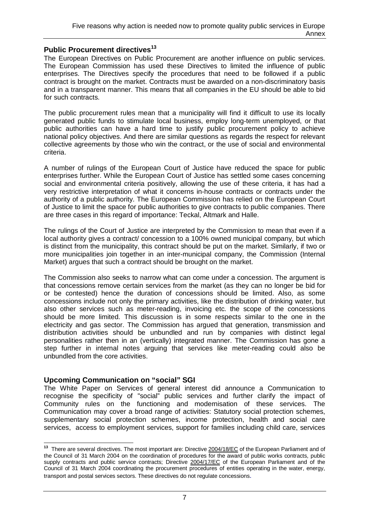# **Public Procurement directives<sup>13</sup>**

The European Directives on Public Procurement are another influence on public services. The European Commission has used these Directives to limited the influence of public enterprises. The Directives specify the procedures that need to be followed if a public contract is brought on the market. Contracts must be awarded on a non-discriminatory basis and in a transparent manner. This means that all companies in the EU should be able to bid for such contracts.

The public procurement rules mean that a municipality will find it difficult to use its locally generated public funds to stimulate local business, employ long-term unemployed, or that public authorities can have a hard time to justify public procurement policy to achieve national policy objectives. And there are similar questions as regards the respect for relevant collective agreements by those who win the contract, or the use of social and environmental criteria.

A number of rulings of the European Court of Justice have reduced the space for public enterprises further. While the European Court of Justice has settled some cases concerning social and environmental criteria positively, allowing the use of these criteria, it has had a very restrictive interpretation of what it concerns in-house contracts or contracts under the authority of a public authority. The European Commission has relied on the European Court of Justice to limit the space for public authorities to give contracts to public companies. There are three cases in this regard of importance: Teckal, Altmark and Halle.

The rulings of the Court of Justice are interpreted by the Commission to mean that even if a local authority gives a contract/ concession to a 100% owned municipal company, but which is distinct from the municipality, this contract should be put on the market. Similarly, if two or more municipalities join together in an inter-municipal company, the Commission (Internal Market) argues that such a contract should be brought on the market.

The Commission also seeks to narrow what can come under a concession. The argument is that concessions remove certain services from the market (as they can no longer be bid for or be contested) hence the duration of concessions should be limited. Also, as some concessions include not only the primary activities, like the distribution of drinking water, but also other services such as meter-reading, invoicing etc. the scope of the concessions should be more limited. This discussion is in some respects similar to the one in the electricity and gas sector. The Commission has argued that generation, transmission and distribution activities should be unbundled and run by companies with distinct legal personalities rather then in an (vertically) integrated manner. The Commission has gone a step further in internal notes arguing that services like meter-reading could also be unbundled from the core activities.

## **Upcoming Communication on "social" SGI**

The White Paper on Services of general interest did announce a Communication to recognise the specificity of "social" public services and further clarify the impact of Community rules on the functioning and modernisation of these services. The Communication may cover a broad range of activities: Statutory social protection schemes, supplementary social protection schemes, income protection, health and social care services, access to employment services, support for families including child care, services

 **13** There are several directives. The most important are: Directive 2004/18/EC of the European Parliament and of the Council of 31 March 2004 on the coordination of procedures for the award of public works contracts, public supply contracts and public service contracts; Directive 2004/17/EC of the European Parliament and of the Council of 31 March 2004 coordinating the procurement procedures of entities operating in the water, energy, transport and postal services sectors. These directives do not regulate concessions.